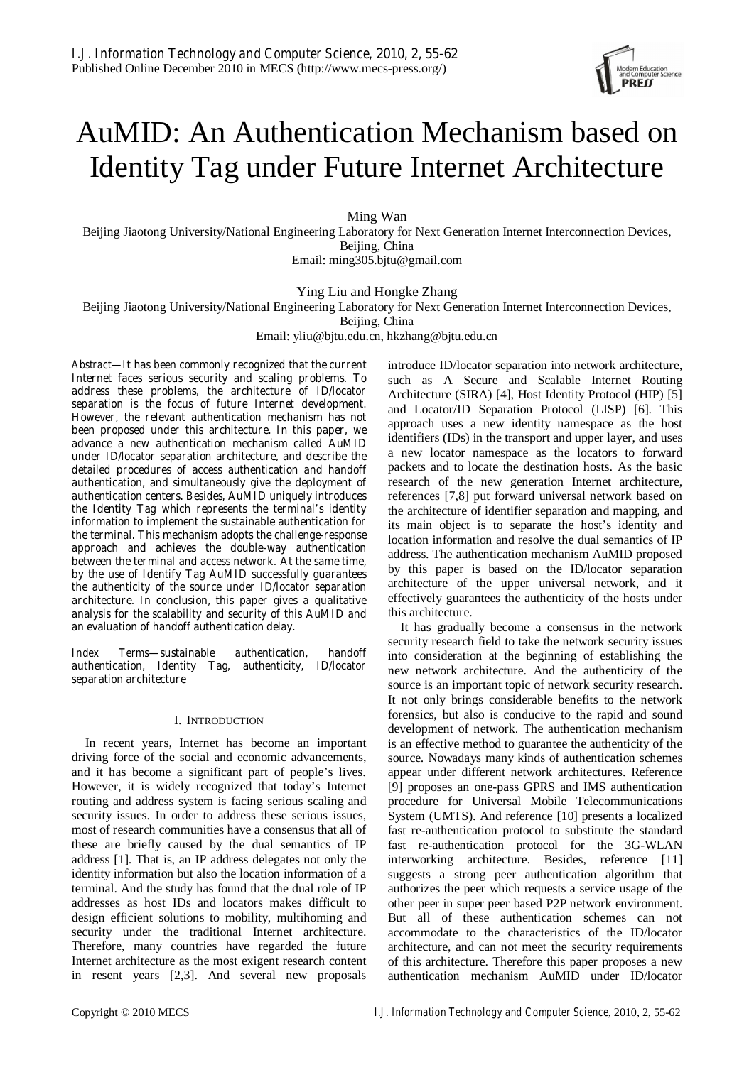

# AuMID: An Authentication Mechanism based on Identity Tag under Future Internet Architecture

Ming Wan

Beijing Jiaotong University/National Engineering Laboratory for Next Generation Internet Interconnection Devices, Beijing, China

Email: ming305.bjtu@gmail.com

Ying Liu and Hongke Zhang

Beijing Jiaotong University/National Engineering Laboratory for Next Generation Internet Interconnection Devices,

Beijing, China

Email: yliu@bjtu.edu.cn, hkzhang@bjtu.edu.cn

*Abstract***—It has been commonly recognized that the current Internet faces serious security and scaling problems. To address these problems, the architecture of ID/locator separation is the focus of future Internet development. However, the relevant authentication mechanism has not been proposed under this architecture. In this paper, we advance a new authentication mechanism called AuMID under ID/locator separation architecture, and describe the detailed procedures of access authentication and handoff authentication, and simultaneously give the deployment of authentication centers. Besides, AuMID uniquely introduces the Identity Tag which represents the terminal's identity information to implement the sustainable authentication for the terminal. This mechanism adopts the challenge-response approach and achieves the double-way authentication between the terminal and access network. At the same time, by the use of Identify Tag AuMID successfully guarantees the authenticity of the source under ID/locator separation architecture. In conclusion, this paper gives a qualitative analysis for the scalability and security of this AuMID and an evaluation of handoff authentication delay.** 

*Index Terms***—sustainable authentication, handoff authentication, Identity Tag, authenticity, ID/locator separation architecture** 

# I. INTRODUCTION

In recent years, Internet has become an important driving force of the social and economic advancements, and it has become a significant part of people's lives. However, it is widely recognized that today's Internet routing and address system is facing serious scaling and security issues. In order to address these serious issues, most of research communities have a consensus that all of these are briefly caused by the dual semantics of IP address [1]. That is, an IP address delegates not only the identity information but also the location information of a terminal. And the study has found that the dual role of IP addresses as host IDs and locators makes difficult to design efficient solutions to mobility, multihoming and security under the traditional Internet architecture. Therefore, many countries have regarded the future Internet architecture as the most exigent research content in resent years [2,3]. And several new proposals

introduce ID/locator separation into network architecture, such as A Secure and Scalable Internet Routing Architecture (SIRA) [4], Host Identity Protocol (HIP) [5] and Locator/ID Separation Protocol (LISP) [6]. This approach uses a new identity namespace as the host identifiers (IDs) in the transport and upper layer, and uses a new locator namespace as the locators to forward packets and to locate the destination hosts. As the basic research of the new generation Internet architecture, references [7,8] put forward universal network based on the architecture of identifier separation and mapping, and its main object is to separate the host's identity and location information and resolve the dual semantics of IP address. The authentication mechanism AuMID proposed by this paper is based on the ID/locator separation architecture of the upper universal network, and it effectively guarantees the authenticity of the hosts under this architecture.

It has gradually become a consensus in the network security research field to take the network security issues into consideration at the beginning of establishing the new network architecture. And the authenticity of the source is an important topic of network security research. It not only brings considerable benefits to the network forensics, but also is conducive to the rapid and sound development of network. The authentication mechanism is an effective method to guarantee the authenticity of the source. Nowadays many kinds of authentication schemes appear under different network architectures. Reference [9] proposes an one-pass GPRS and IMS authentication procedure for Universal Mobile Telecommunications System (UMTS). And reference [10] presents a localized fast re-authentication protocol to substitute the standard fast re-authentication protocol for the 3G-WLAN interworking architecture. Besides, reference [11] suggests a strong peer authentication algorithm that authorizes the peer which requests a service usage of the other peer in super peer based P2P network environment. But all of these authentication schemes can not accommodate to the characteristics of the ID/locator architecture, and can not meet the security requirements of this architecture. Therefore this paper proposes a new authentication mechanism AuMID under ID/locator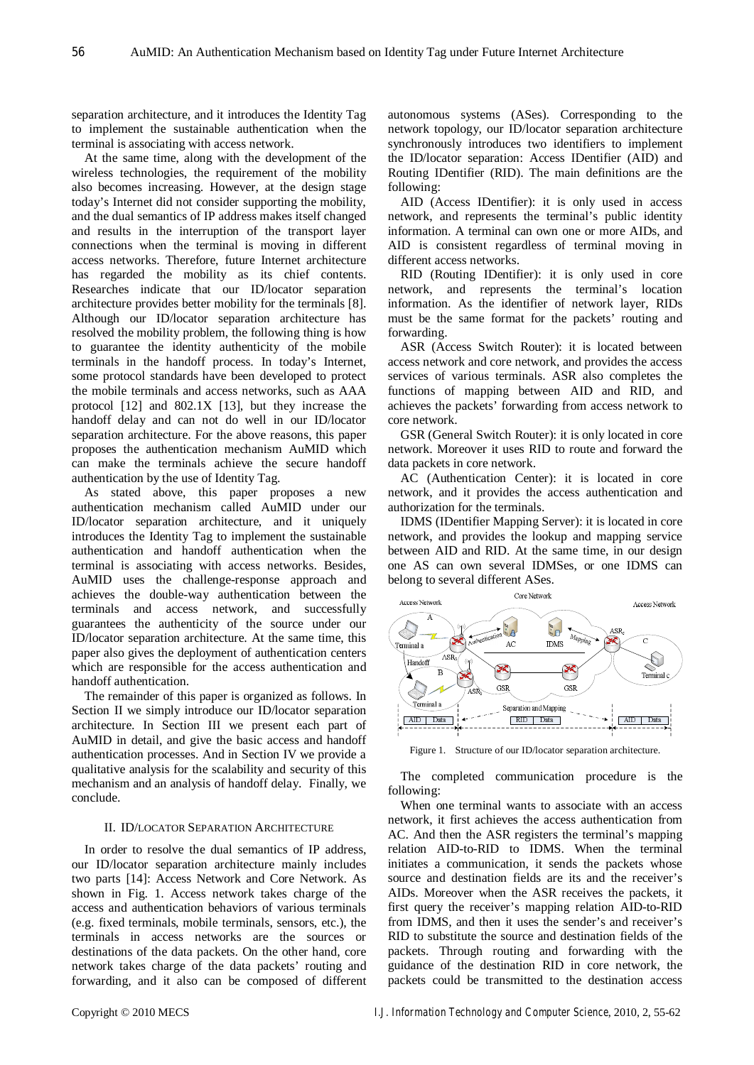separation architecture, and it introduces the Identity Tag to implement the sustainable authentication when the terminal is associating with access network.

At the same time, along with the development of the wireless technologies, the requirement of the mobility also becomes increasing. However, at the design stage today's Internet did not consider supporting the mobility, and the dual semantics of IP address makes itself changed and results in the interruption of the transport layer connections when the terminal is moving in different access networks. Therefore, future Internet architecture has regarded the mobility as its chief contents. Researches indicate that our ID/locator separation architecture provides better mobility for the terminals [8]. Although our ID/locator separation architecture has resolved the mobility problem, the following thing is how to guarantee the identity authenticity of the mobile terminals in the handoff process. In today's Internet, some protocol standards have been developed to protect the mobile terminals and access networks, such as AAA protocol [12] and 802.1X [13], but they increase the handoff delay and can not do well in our ID/locator separation architecture. For the above reasons, this paper proposes the authentication mechanism AuMID which can make the terminals achieve the secure handoff authentication by the use of Identity Tag.

As stated above, this paper proposes a new authentication mechanism called AuMID under our ID/locator separation architecture, and it uniquely introduces the Identity Tag to implement the sustainable authentication and handoff authentication when the terminal is associating with access networks. Besides, AuMID uses the challenge-response approach and achieves the double-way authentication between the terminals and access network, and successfully guarantees the authenticity of the source under our ID/locator separation architecture. At the same time, this paper also gives the deployment of authentication centers which are responsible for the access authentication and handoff authentication.

The remainder of this paper is organized as follows. In Section II we simply introduce our ID/locator separation architecture. In Section III we present each part of AuMID in detail, and give the basic access and handoff authentication processes. And in Section IV we provide a qualitative analysis for the scalability and security of this mechanism and an analysis of handoff delay. Finally, we conclude.

# II. ID/LOCATOR SEPARATION ARCHITECTURE

In order to resolve the dual semantics of IP address, our ID/locator separation architecture mainly includes two parts [14]: Access Network and Core Network. As shown in Fig. 1. Access network takes charge of the access and authentication behaviors of various terminals (e.g. fixed terminals, mobile terminals, sensors, etc.), the terminals in access networks are the sources or destinations of the data packets. On the other hand, core network takes charge of the data packets' routing and forwarding, and it also can be composed of different autonomous systems (ASes). Corresponding to the network topology, our ID/locator separation architecture synchronously introduces two identifiers to implement the ID/locator separation: Access IDentifier (AID) and Routing IDentifier (RID). The main definitions are the following:

AID (Access IDentifier): it is only used in access network, and represents the terminal's public identity information. A terminal can own one or more AIDs, and AID is consistent regardless of terminal moving in different access networks.

RID (Routing IDentifier): it is only used in core network, and represents the terminal's location information. As the identifier of network layer, RIDs must be the same format for the packets' routing and forwarding.

ASR (Access Switch Router): it is located between access network and core network, and provides the access services of various terminals. ASR also completes the functions of mapping between AID and RID, and achieves the packets' forwarding from access network to core network.

GSR (General Switch Router): it is only located in core network. Moreover it uses RID to route and forward the data packets in core network.

AC (Authentication Center): it is located in core network, and it provides the access authentication and authorization for the terminals.

IDMS (IDentifier Mapping Server): it is located in core network, and provides the lookup and mapping service between AID and RID. At the same time, in our design one AS can own several IDMSes, or one IDMS can belong to several different ASes.



Figure 1. Structure of our ID/locator separation architecture.

The completed communication procedure is the following:

When one terminal wants to associate with an access network, it first achieves the access authentication from AC. And then the ASR registers the terminal's mapping relation AID-to-RID to IDMS. When the terminal initiates a communication, it sends the packets whose source and destination fields are its and the receiver's AIDs. Moreover when the ASR receives the packets, it first query the receiver's mapping relation AID-to-RID from IDMS, and then it uses the sender's and receiver's RID to substitute the source and destination fields of the packets. Through routing and forwarding with the guidance of the destination RID in core network, the packets could be transmitted to the destination access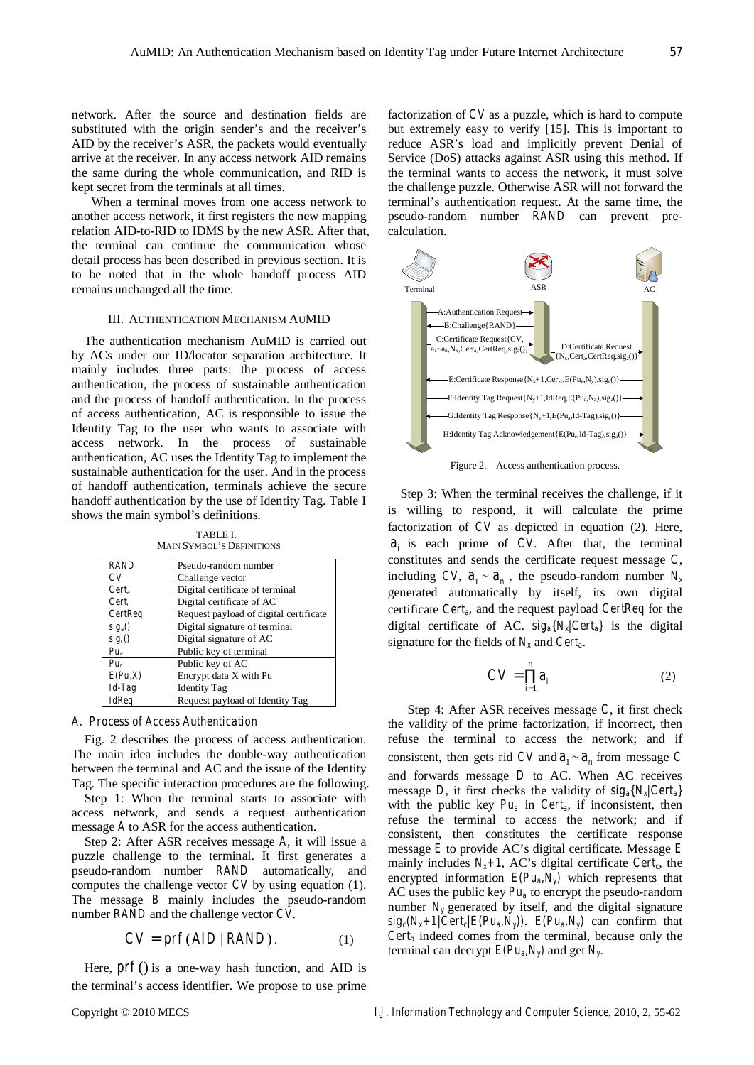network. After the source and destination fields are substituted with the origin sender's and the receiver's AID by the receiver's ASR, the packets would eventually arrive at the receiver. In any access network AID remains the same during the whole communication, and RID is kept secret from the terminals at all times.

When a terminal moves from one access network to another access network, it first registers the new mapping relation AID-to-RID to IDMS by the new ASR. After that, the terminal can continue the communication whose detail process has been described in previous section. It is to be noted that in the whole handoff process AID remains unchanged all the time.

# III. AUTHENTICATION MECHANISM AUMID

The authentication mechanism AuMID is carried out by ACs under our ID/locator separation architecture. It mainly includes three parts: the process of access authentication, the process of sustainable authentication and the process of handoff authentication. In the process of access authentication, AC is responsible to issue the Identity Tag to the user who wants to associate with access network. In the process of sustainable authentication, AC uses the Identity Tag to implement the sustainable authentication for the user. And in the process of handoff authentication, terminals achieve the secure handoff authentication by the use of Identity Tag. Table I shows the main symbol's definitions.

TABLE I. MAIN SYMBOL'S DEFINITIONS

| <b>RAND</b>         | Pseudo-random number                   |
|---------------------|----------------------------------------|
| CV                  | Challenge vector                       |
| $Cert_a$            | Digital certificate of terminal        |
| $Cert_c$            | Digital certificate of AC              |
| CertReq             | Request payload of digital certificate |
| $sig_a()$           | Digital signature of terminal          |
| sig <sub>c</sub> () | Digital signature of AC                |
| $Pu_a$              | Public key of terminal                 |
| $Pu_c$              | Public key of AC                       |
| E(Pu,X)             | Encrypt data X with Pu                 |
| $Id$ -Tag           | <b>Identity Tag</b>                    |
| <b>IdReq</b>        | Request payload of Identity Tag        |

## *A. Process of Access Authentication*

Fig. 2 describes the process of access authentication. The main idea includes the double-way authentication between the terminal and AC and the issue of the Identity Tag. The specific interaction procedures are the following.

Step 1: When the terminal starts to associate with access network, and sends a request authentication message *A* to ASR for the access authentication.

Step 2: After ASR receives message *A*, it will issue a puzzle challenge to the terminal. It first generates a pseudo-random number *RAND* automatically, and computes the challenge vector *CV* by using equation (1). The message *B* mainly includes the pseudo-random number *RAND* and the challenge vector *CV*.

$$
CV = prf(AID | RANDOM). \t(1)
$$

Here,  $prf()$  is a one-way hash function, and AID is the terminal's access identifier. We propose to use prime factorization of *CV* as a puzzle, which is hard to compute but extremely easy to verify [15]. This is important to reduce ASR's load and implicitly prevent Denial of Service (DoS) attacks against ASR using this method. If the terminal wants to access the network, it must solve the challenge puzzle. Otherwise ASR will not forward the terminal's authentication request. At the same time, the pseudo-random number *RAND* can prevent precalculation.



Figure 2. Access authentication process.

Step 3: When the terminal receives the challenge, if it is willing to respond, it will calculate the prime factorization of *CV* as depicted in equation (2). Here,  $a_i$  is each prime of *CV*. After that, the terminal constitutes and sends the certificate request message *C*, including *CV*,  $a_1 \sim a_n$ , the pseudo-random number  $N_x$ generated automatically by itself, its own digital certificate *Certa*, and the request payload *CertReq* for the digital certificate of AC. *siga{Nx|Certa}* is the digital signature for the fields of  $N_x$  and *Cert<sub>a</sub>*.

$$
CV = \prod_{i=1}^{n} a_i \tag{2}
$$

Step 4: After ASR receives message *C*, it first check the validity of the prime factorization, if incorrect, then refuse the terminal to access the network; and if consistent, then gets rid *CV* and  $a_1 \sim a_n$  from message *C* and forwards message *D* to AC. When AC receives message *D*, it first checks the validity of *siga{Nx|Certa}* with the public key  $Pu_a$  in  $Cert_a$ , if inconsistent, then refuse the terminal to access the network; and if consistent, then constitutes the certificate response message *E* to provide AC's digital certificate. Message *E* mainly includes  $N_x+1$ , AC's digital certificate *Cert<sub>c</sub>*, the encrypted information  $E(Pu_a, N_y)$  which represents that AC uses the public key  $Pu_a$  to encrypt the pseudo-random number  $N_v$  generated by itself, and the digital signature  $sig_c(N_x+1/Cert_c/E(Pu_a,N_y))$ .  $E(Pu_a,N_y)$  can confirm that  $Cert_a$  indeed comes from the terminal, because only the terminal can decrypt  $E(Pu_a, N_y)$  and get  $N_y$ .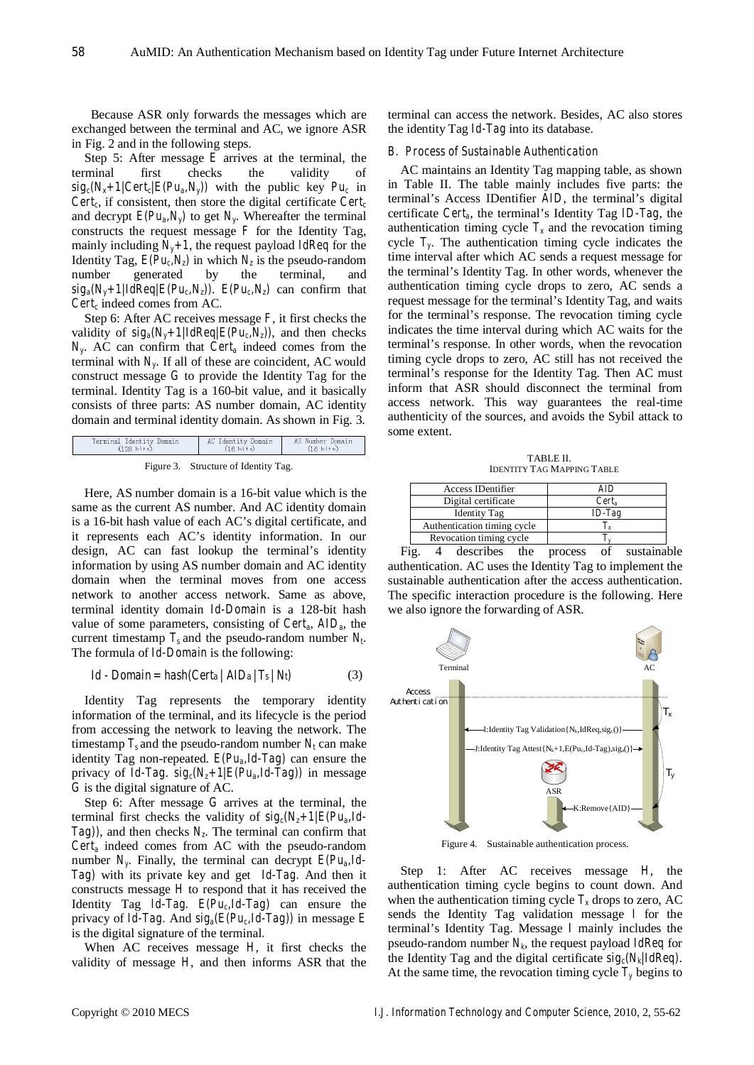Because ASR only forwards the messages which are exchanged between the terminal and AC, we ignore ASR in Fig. 2 and in the following steps.

Step 5: After message *E* arrives at the terminal, the terminal first checks the validity of  $sig_c(N_x+1/Cert_c/E(Pu_a,N_y))$  with the public key  $Pu_c$  in *Cert<sub>c</sub>*, if consistent, then store the digital certificate *Cert<sub>c</sub>* and decrypt  $E(Pu_a, N_y)$  to get  $N_y$ . Whereafter the terminal constructs the request message  $F$  for the Identity Tag, mainly including  $N_v+1$ , the request payload *IdReq* for the Identity Tag,  $E(Pu_c, N_z)$  in which  $N_z$  is the pseudo-random number generated by the terminal, and  $sig_a(N_y+1)IdReg/E(Pu_c,N_z)$ .  $E(Pu_c,N_z)$  can confirm that *Cert<sub>c</sub>* indeed comes from AC.

Step 6: After AC receives message *F*, it first checks the validity of  $sig_a(N_y+1)IdReq/E(Pu_c,N_z))$ , and then checks *Ny*. AC can confirm that *Certa* indeed comes from the terminal with  $N_v$ . If all of these are coincident, AC would construct message *G* to provide the Identity Tag for the terminal. Identity Tag is a 160-bit value, and it basically consists of three parts: AS number domain, AC identity domain and terminal identity domain. As shown in Fig. 3.

| Terminal loentity Domain | AC ldentity Domain  | Ab Number Domain    |
|--------------------------|---------------------|---------------------|
| $(128 \text{ hits})$     | $(16 \text{ hits})$ | $(16 \text{ hits})$ |
|                          |                     |                     |

| Figure 3. | Structure of Identity Tag. |  |  |  |
|-----------|----------------------------|--|--|--|
|-----------|----------------------------|--|--|--|

Here, AS number domain is a 16-bit value which is the same as the current AS number. And AC identity domain is a 16-bit hash value of each AC's digital certificate, and it represents each AC's identity information. In our design, AC can fast lookup the terminal's identity information by using AS number domain and AC identity domain when the terminal moves from one access network to another access network. Same as above, terminal identity domain *Id-Domain* is a 128-bit hash value of some parameters, consisting of *Certa*, *AIDa*, the current timestamp  $T_s$  and the pseudo-random number  $N_t$ . The formula of *Id-Domain* is the following:

$$
Id - Domain = hash(Certa / AIDa / T_s / N_t)
$$
 (3)

Identity Tag represents the temporary identity information of the terminal, and its lifecycle is the period from accessing the network to leaving the network. The timestamp  $T_s$  and the pseudo-random number  $N_t$  can make identity Tag non-repeated. *E(Pua,Id-Tag)* can ensure the privacy of *Id-Tag.*  $sig_c(N_z+1/E(Pu_a,Id-Tag))$  in message *G* is the digital signature of AC.

Step 6: After message *G* arrives at the terminal, the terminal first checks the validity of  $sig_c(N_z+1)/E(Pu_a,Id-1)$ *Tag)*), and then checks  $N_z$ . The terminal can confirm that *Certa* indeed comes from AC with the pseudo-random number  $N_{y}$ . Finally, the terminal can decrypt  $E(Pu_{a}, Id$ -*Tag)* with its private key and get *Id-Tag.* And then it constructs message *H* to respond that it has received the Identity Tag *Id-Tag.*  $E(Pu_cId-Tag)$  can ensure the privacy of *Id-Tag.* And  $sig_a(E(Pu_cId - Tag))$  in message *E* is the digital signature of the terminal*.*

When AC receives message *H*, it first checks the validity of message *H*, and then informs ASR that the terminal can access the network. Besides, AC also stores the identity Tag *Id-Tag* into its database.

## *B. Process of Sustainable Authentication*

AC maintains an Identity Tag mapping table, as shown in Table II. The table mainly includes five parts: the terminal's Access IDentifier *AID*, the terminal's digital certificate *Certa*, the terminal's Identity Tag *ID-Tag*, the authentication timing cycle  $T_x$  and the revocation timing cycle *Ty*. The authentication timing cycle indicates the time interval after which AC sends a request message for the terminal's Identity Tag. In other words, whenever the authentication timing cycle drops to zero, AC sends a request message for the terminal's Identity Tag, and waits for the terminal's response. The revocation timing cycle indicates the time interval during which AC waits for the terminal's response. In other words, when the revocation timing cycle drops to zero, AC still has not received the terminal's response for the Identity Tag. Then AC must inform that ASR should disconnect the terminal from access network. This way guarantees the real-time authenticity of the sources, and avoids the Sybil attack to some extent.

TABLE II. IDENTITY TAG MAPPING TABLE

| $Cert_a$  |
|-----------|
| $ID$ -Tag |
|           |
|           |
|           |

Fig. 4 describes the process of sustainable authentication. AC uses the Identity Tag to implement the sustainable authentication after the access authentication. The specific interaction procedure is the following. Here we also ignore the forwarding of ASR.



Figure 4. Sustainable authentication process.

Step 1: After AC receives message *H*, the authentication timing cycle begins to count down. And when the authentication timing cycle  $T<sub>x</sub>$  drops to zero, AC sends the Identity Tag validation message *I* for the terminal's Identity Tag. Message *I* mainly includes the pseudo-random number  $N_k$ , the request payload *IdReq* for the Identity Tag and the digital certificate *sigc(Nk|IdReq)*. At the same time, the revocation timing cycle  $T<sub>y</sub>$  begins to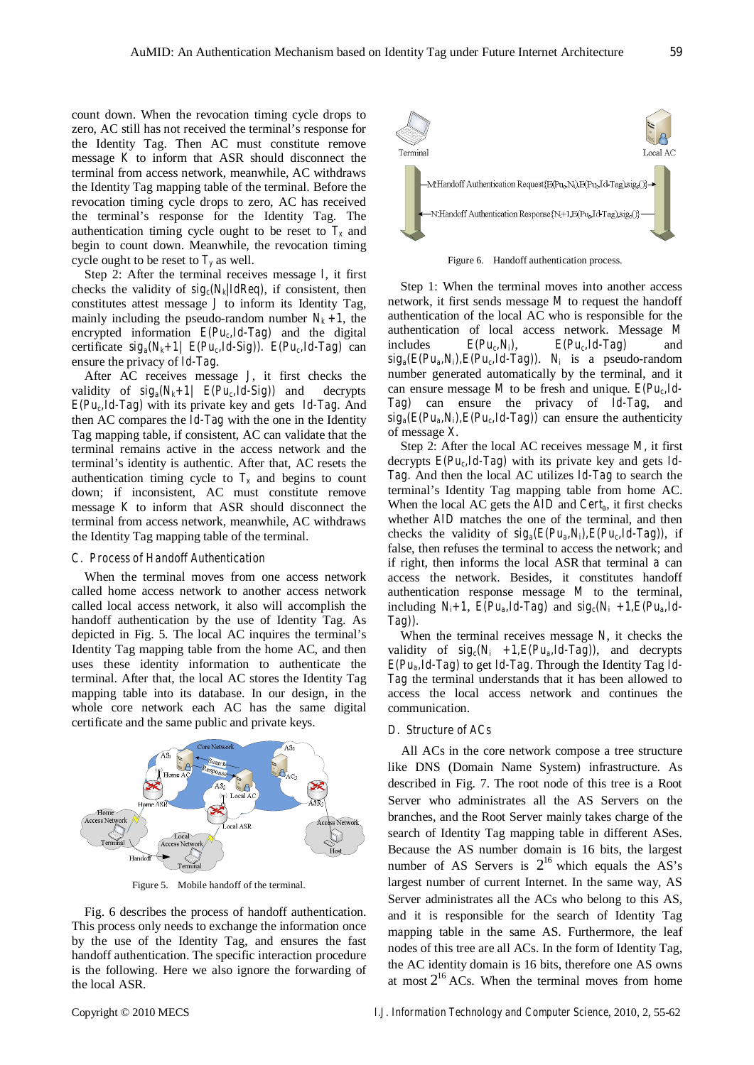count down. When the revocation timing cycle drops to zero, AC still has not received the terminal's response for the Identity Tag. Then AC must constitute remove message *K* to inform that ASR should disconnect the terminal from access network, meanwhile, AC withdraws the Identity Tag mapping table of the terminal. Before the revocation timing cycle drops to zero, AC has received the terminal's response for the Identity Tag. The authentication timing cycle ought to be reset to  $T<sub>x</sub>$  and begin to count down. Meanwhile, the revocation timing cycle ought to be reset to  $T<sub>y</sub>$  as well.

Step 2: After the terminal receives message *I*, it first checks the validity of  $sig_c(N_k)/IdReq$ , if consistent, then constitutes attest message *J* to inform its Identity Tag, mainly including the pseudo-random number  $N_k + 1$ , the encrypted information  $E(Pu_cId-Tag)$  and the digital certificate  $sig_a(N_k+1)$   $E(Pu_c,Id-Sig)$ ).  $E(Pu_c,Id-Tag)$  can ensure the privacy of *Id-Tag*.

After AC receives message *J*, it first checks the validity of  $sig_a(N_k+1)$   $E(Pu_c, Id-Sig)$  and decrypts *E(Puc,Id-Tag)* with its private key and gets *Id-Tag*. And then AC compares the *Id-Tag* with the one in the Identity Tag mapping table, if consistent, AC can validate that the terminal remains active in the access network and the terminal's identity is authentic. After that, AC resets the authentication timing cycle to  $T_x$  and begins to count down; if inconsistent, AC must constitute remove message *K* to inform that ASR should disconnect the terminal from access network, meanwhile, AC withdraws the Identity Tag mapping table of the terminal.

# *C. Process of Handoff Authentication*

When the terminal moves from one access network called home access network to another access network called local access network, it also will accomplish the handoff authentication by the use of Identity Tag. As depicted in Fig. 5. The local AC inquires the terminal's Identity Tag mapping table from the home AC, and then uses these identity information to authenticate the terminal. After that, the local AC stores the Identity Tag mapping table into its database. In our design, in the whole core network each AC has the same digital certificate and the same public and private keys.



Figure 5. Mobile handoff of the terminal.

Fig. 6 describes the process of handoff authentication. This process only needs to exchange the information once by the use of the Identity Tag, and ensures the fast handoff authentication. The specific interaction procedure is the following. Here we also ignore the forwarding of the local ASR.



Figure 6. Handoff authentication process.

Step 1: When the terminal moves into another access network, it first sends message *M* to request the handoff authentication of the local AC who is responsible for the authentication of local access network. Message *M* includes  $E(Pu_c, N_i)$ ,  $E(Pu_c, Id - Tag)$  and  $sig_a(E(Pu_a,N_i),E(Pu_c,Id-Tag))$ . *N<sub>i</sub>* is a pseudo-random number generated automatically by the terminal, and it can ensure message *M* to be fresh and unique.  $E(Pu_0Id -$ *Tag)* can ensure the privacy of *Id-Tag*, and  $sig_a(E(Pu_a,N_i),E(Pu_cId-Tag))$  can ensure the authenticity of message *X*.

Step 2: After the local AC receives message *M,* it first decrypts  $E(Pu_c, Id-Tag)$  with its private key and gets *Id-Tag.* And then the local AC utilizes *Id-Tag* to search the terminal's Identity Tag mapping table from home AC. When the local AC gets the *AID* and *Cert<sub>a</sub>*, it first checks whether *AID* matches the one of the terminal, and then checks the validity of  $sig_a(E(Pu_a,N_i),E(Pu_cId-Tag))$ , if false, then refuses the terminal to access the network; and if right, then informs the local ASR that terminal *a* can access the network. Besides, it constitutes handoff authentication response message *M* to the terminal, including  $N_i+1$ ,  $E(Pu_a, Id-Tag)$  and  $sig_c(N_i +1, E(Pu_a, Id-Tag))$ *Tag)).*

When the terminal receives message *N*, it checks the validity of  $sig_c(N_i +1,E(Pu_a,Id-Tag))$ , and decrypts *E(Pua,Id-Tag)* to get *Id-Tag*. Through the Identity Tag *Id-Tag* the terminal understands that it has been allowed to access the local access network and continues the communication.

# *D. Structure of ACs*

All ACs in the core network compose a tree structure like DNS (Domain Name System) infrastructure. As described in Fig. 7. The root node of this tree is a Root Server who administrates all the AS Servers on the branches, and the Root Server mainly takes charge of the search of Identity Tag mapping table in different ASes. Because the AS number domain is 16 bits, the largest number of AS Servers is  $2^{16}$  which equals the AS's largest number of current Internet. In the same way, AS Server administrates all the ACs who belong to this AS, and it is responsible for the search of Identity Tag mapping table in the same AS. Furthermore, the leaf nodes of this tree are all ACs. In the form of Identity Tag, the AC identity domain is 16 bits, therefore one AS owns at most  $2^{16}$  ACs. When the terminal moves from home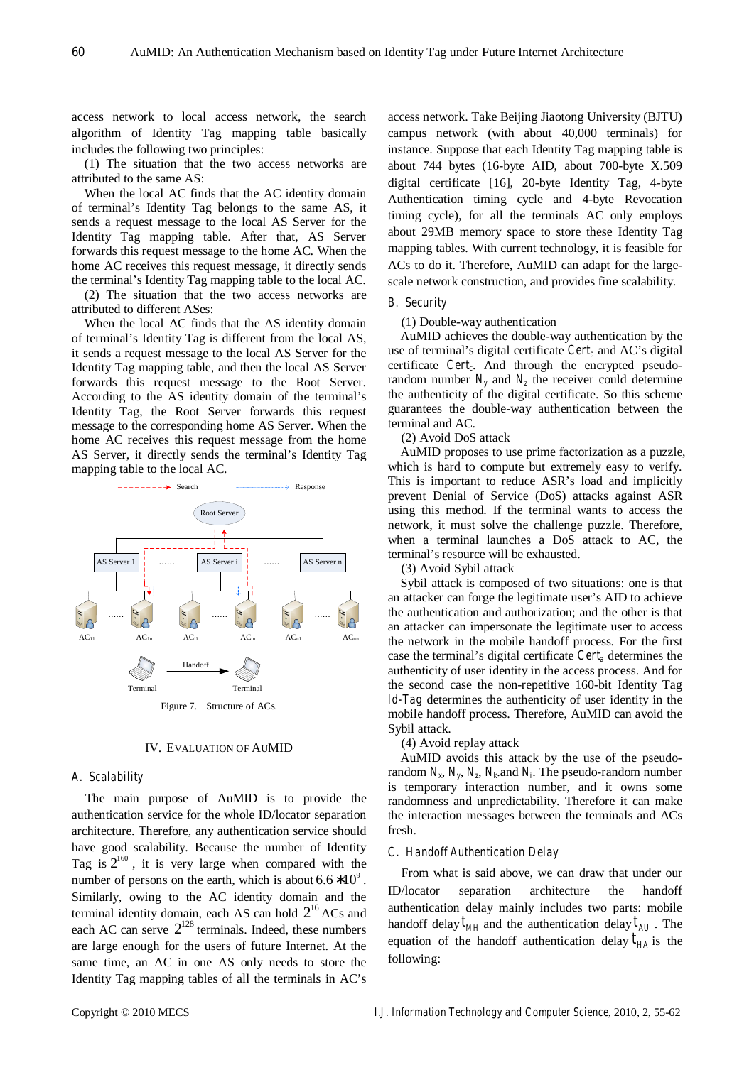access network to local access network, the search algorithm of Identity Tag mapping table basically includes the following two principles:

(1) The situation that the two access networks are attributed to the same AS:

When the local AC finds that the AC identity domain of terminal's Identity Tag belongs to the same AS, it sends a request message to the local AS Server for the Identity Tag mapping table. After that, AS Server forwards this request message to the home AC. When the home AC receives this request message, it directly sends the terminal's Identity Tag mapping table to the local AC.

(2) The situation that the two access networks are attributed to different ASes:

When the local AC finds that the AS identity domain of terminal's Identity Tag is different from the local AS, it sends a request message to the local AS Server for the Identity Tag mapping table, and then the local AS Server forwards this request message to the Root Server. According to the AS identity domain of the terminal's Identity Tag, the Root Server forwards this request message to the corresponding home AS Server. When the home AC receives this request message from the home AS Server, it directly sends the terminal's Identity Tag mapping table to the local AC.



#### IV. EVALUATION OF AUMID

# *A. Scalability*

The main purpose of AuMID is to provide the authentication service for the whole ID/locator separation architecture. Therefore, any authentication service should have good scalability. Because the number of Identity Tag is  $2^{160}$ , it is very large when compared with the number of persons on the earth, which is about  $6.6 * 10^9$ . Similarly, owing to the AC identity domain and the terminal identity domain, each AS can hold  $2^{16}$  ACs and each AC can serve  $2^{128}$  terminals. Indeed, these numbers are large enough for the users of future Internet. At the same time, an AC in one AS only needs to store the Identity Tag mapping tables of all the terminals in AC's

access network. Take Beijing Jiaotong University (BJTU) campus network (with about 40,000 terminals) for instance. Suppose that each Identity Tag mapping table is about 744 bytes (16-byte AID, about 700-byte X.509 digital certificate [16], 20-byte Identity Tag, 4-byte Authentication timing cycle and 4-byte Revocation timing cycle), for all the terminals AC only employs about 29MB memory space to store these Identity Tag mapping tables. With current technology, it is feasible for ACs to do it. Therefore, AuMID can adapt for the largescale network construction, and provides fine scalability.

## *B. Security*

(1) Double-way authentication

AuMID achieves the double-way authentication by the use of terminal's digital certificate *Certa* and AC's digital certificate *Cert<sub>c</sub>*. And through the encrypted pseudorandom number  $N_v$  and  $N_z$  the receiver could determine the authenticity of the digital certificate. So this scheme guarantees the double-way authentication between the terminal and AC.

(2) Avoid DoS attack

AuMID proposes to use prime factorization as a puzzle, which is hard to compute but extremely easy to verify. This is important to reduce ASR's load and implicitly prevent Denial of Service (DoS) attacks against ASR using this method. If the terminal wants to access the network, it must solve the challenge puzzle. Therefore, when a terminal launches a DoS attack to AC, the terminal's resource will be exhausted.

(3) Avoid Sybil attack

Sybil attack is composed of two situations: one is that an attacker can forge the legitimate user's AID to achieve the authentication and authorization; and the other is that an attacker can impersonate the legitimate user to access the network in the mobile handoff process. For the first case the terminal's digital certificate *Certa* determines the authenticity of user identity in the access process. And for the second case the non-repetitive 160-bit Identity Tag *Id-Tag* determines the authenticity of user identity in the mobile handoff process. Therefore, AuMID can avoid the Sybil attack.

(4) Avoid replay attack

AuMID avoids this attack by the use of the pseudorandom  $N_x$ ,  $N_y$ ,  $N_z$ ,  $N_k$  and  $N_i$ . The pseudo-random number is temporary interaction number, and it owns some randomness and unpredictability. Therefore it can make the interaction messages between the terminals and ACs fresh.

# *C. Handoff Authentication Delay*

From what is said above, we can draw that under our ID/locator separation architecture the handoff authentication delay mainly includes two parts: mobile handoff delay  $t_{MH}$  and the authentication delay  $t_{AU}$ . The equation of the handoff authentication delay  $t_{HA}$  is the following: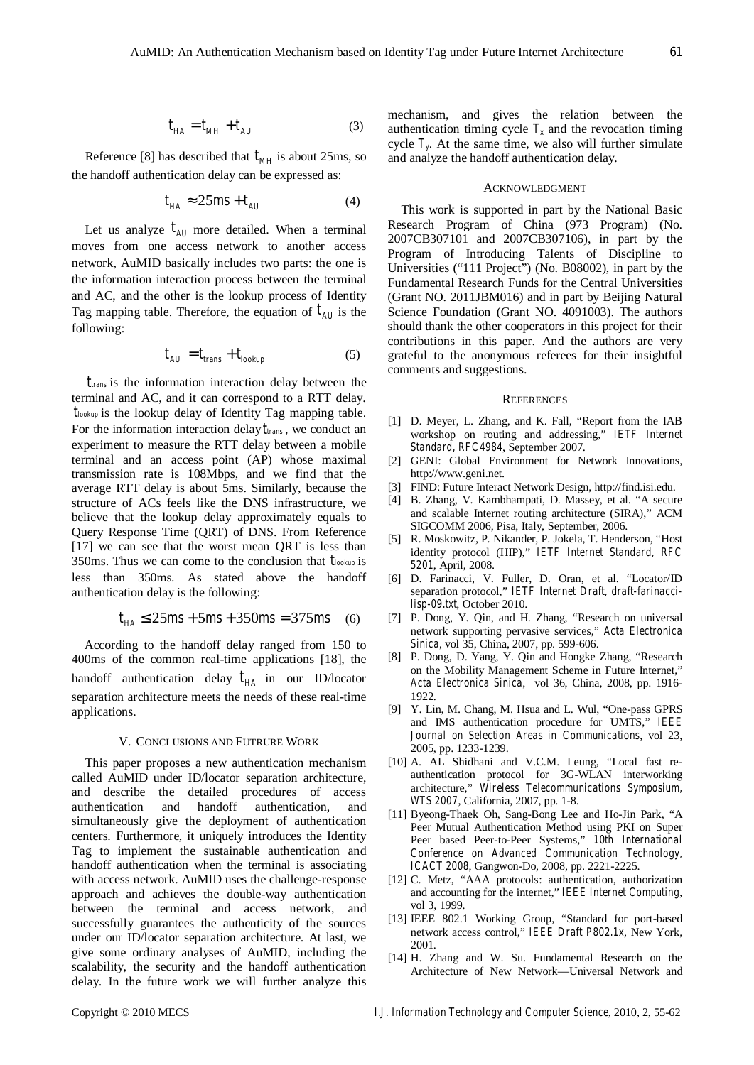Reference [8] has described that  $t_{MH}$  is about 25ms, so the handoff authentication delay can be expressed as:

$$
t_{HA} \approx 25ms + t_{AU} \tag{4}
$$

Let us analyze  $t_{AI}$  more detailed. When a terminal moves from one access network to another access network, AuMID basically includes two parts: the one is the information interaction process between the terminal and AC, and the other is the lookup process of Identity Tag mapping table. Therefore, the equation of  $t_{AU}$  is the following:

$$
t_{AU} = t_{trans} + t_{lookup}
$$
 (5)

*ttrans* is the information interaction delay between the terminal and AC, and it can correspond to a RTT delay. *tlookup* is the lookup delay of Identity Tag mapping table. For the information interaction delay*ttrans* , we conduct an experiment to measure the RTT delay between a mobile terminal and an access point (AP) whose maximal transmission rate is 108Mbps, and we find that the average RTT delay is about 5ms. Similarly, because the structure of ACs feels like the DNS infrastructure, we believe that the lookup delay approximately equals to Query Response Time (QRT) of DNS. From Reference [17] we can see that the worst mean QRT is less than 350ms. Thus we can come to the conclusion that *tlookup* is less than 350ms. As stated above the handoff authentication delay is the following:

$$
t_{HA} \le 25ms + 5ms + 350ms = 375ms \quad (6)
$$

According to the handoff delay ranged from 150 to 400ms of the common real-time applications [18], the handoff authentication delay  $t_{HA}$  in our ID/locator separation architecture meets the needs of these real-time applications.

# V. CONCLUSIONS AND FUTRURE WORK

This paper proposes a new authentication mechanism called AuMID under ID/locator separation architecture, and describe the detailed procedures of access authentication and handoff authentication, and simultaneously give the deployment of authentication centers. Furthermore, it uniquely introduces the Identity Tag to implement the sustainable authentication and handoff authentication when the terminal is associating with access network. AuMID uses the challenge-response approach and achieves the double-way authentication between the terminal and access network, and successfully guarantees the authenticity of the sources under our ID/locator separation architecture. At last, we give some ordinary analyses of AuMID, including the scalability, the security and the handoff authentication delay. In the future work we will further analyze this

mechanism, and gives the relation between the authentication timing cycle  $T_x$  and the revocation timing cycle  $T<sub>v</sub>$ . At the same time, we also will further simulate and analyze the handoff authentication delay.

# ACKNOWLEDGMENT

This work is supported in part by the National Basic Research Program of China (973 Program) (No. 2007CB307101 and 2007CB307106), in part by the Program of Introducing Talents of Discipline to Universities ("111 Project") (No. B08002), in part by the Fundamental Research Funds for the Central Universities (Grant NO. 2011JBM016) and in part by Beijing Natural Science Foundation (Grant NO. 4091003). The authors should thank the other cooperators in this project for their contributions in this paper. And the authors are very grateful to the anonymous referees for their insightful comments and suggestions.

## **REFERENCES**

- [1] D. Meyer, L. Zhang, and K. Fall, "Report from the IAB workshop on routing and addressing," *IETF Internet Standard, RFC4984*, September 2007.
- [2] GENI: Global Environment for Network Innovations, http://www.geni.net.
- [3] FIND: Future Interact Network Design, http://find.isi.edu.
- [4] B. Zhang, V. Kambhampati, D. Massey, et al. "A secure and scalable Internet routing architecture (SIRA)," ACM SIGCOMM 2006, Pisa, Italy, September, 2006.
- [5] R. Moskowitz, P. Nikander, P. Jokela, T. Henderson, "Host identity protocol (HIP)," *IETF Internet Standard, RFC 5201*, April, 2008.
- [6] D. Farinacci, V. Fuller, D. Oran, et al. "Locator/ID separation protocol," *IETF Internet Draft, draft-farinaccilisp-09.txt*, October 2010.
- [7] P. Dong, Y. Qin, and H. Zhang, "Research on universal network supporting pervasive services," *Acta Electronica Sinica*, vol 35, China, 2007, pp. 599-606.
- [8] P. Dong, D. Yang, Y. Qin and Hongke Zhang, "Research on the Mobility Management Scheme in Future Internet," *Acta Electronica Sinica*, vol 36, China, 2008, pp. 1916- 1922.
- [9] Y. Lin, M. Chang, M. Hsua and L. Wul, "One-pass GPRS and IMS authentication procedure for UMTS," *IEEE Journal on Selection Areas in Communications*, vol 23, 2005, pp. 1233-1239.
- [10] A. AL Shidhani and V.C.M. Leung, "Local fast reauthentication protocol for 3G-WLAN interworking architecture," *Wireless Telecommunications Symposium, WTS 2007*, California, 2007, pp. 1-8.
- [11] Byeong-Thaek Oh, Sang-Bong Lee and Ho-Jin Park, "A Peer Mutual Authentication Method using PKI on Super Peer based Peer-to-Peer Systems," *10th International Conference on Advanced Communication Technology, ICACT 2008*, Gangwon-Do, 2008, pp. 2221-2225.
- [12] C. Metz, "AAA protocols: authentication, authorization and accounting for the internet," *IEEE Internet Computing*, vol 3, 1999.
- [13] IEEE 802.1 Working Group, "Standard for port-based network access control," *IEEE Draft P802.1x*, New York, 2001.
- [14] H. Zhang and W. Su. Fundamental Research on the Architecture of New Network—Universal Network and